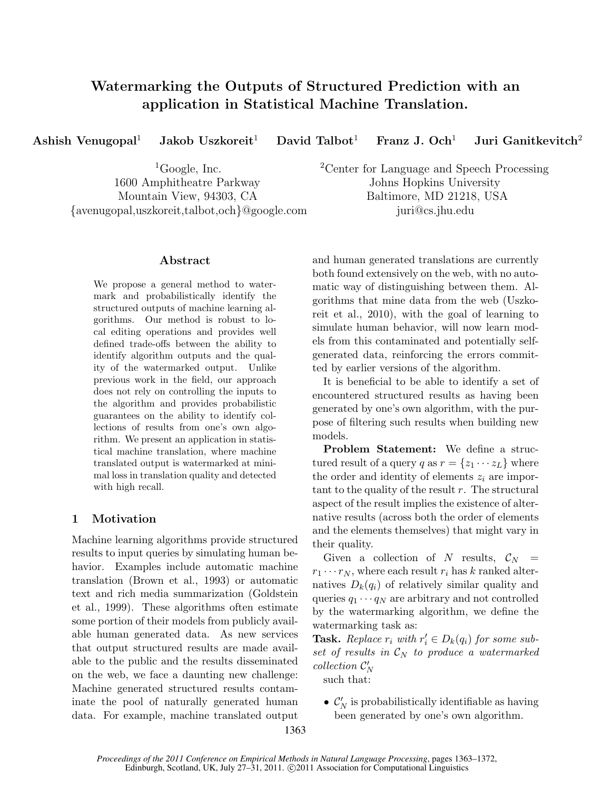# Watermarking the Outputs of Structured Prediction with an application in Statistical Machine Translation.

Ashish Venugopal<sup>1</sup> Jakob Uszkoreit<sup>1</sup> David Talbot<sup>1</sup> Franz J. Och<sup>1</sup> Juri Ganitkevitch<sup>2</sup>

1600 Amphitheatre Parkway Johns Hopkins University Mountain View, 94303, CA Baltimore, MD 21218, USA {avenugopal,uszkoreit,talbot,och}@google.com juri@cs.jhu.edu

### Abstract

We propose a general method to watermark and probabilistically identify the structured outputs of machine learning algorithms. Our method is robust to local editing operations and provides well defined trade-offs between the ability to identify algorithm outputs and the quality of the watermarked output. Unlike previous work in the field, our approach does not rely on controlling the inputs to the algorithm and provides probabilistic guarantees on the ability to identify collections of results from one's own algorithm. We present an application in statistical machine translation, where machine translated output is watermarked at minimal loss in translation quality and detected with high recall.

# 1 Motivation

Machine learning algorithms provide structured results to input queries by simulating human behavior. Examples include automatic machine translation (Brown et al., 1993) or automatic text and rich media summarization (Goldstein et al., 1999). These algorithms often estimate some portion of their models from publicly available human generated data. As new services that output structured results are made available to the public and the results disseminated on the web, we face a daunting new challenge: Machine generated structured results contaminate the pool of naturally generated human data. For example, machine translated output

<sup>1</sup>Google, Inc. <sup>2</sup>Center for Language and Speech Processing

and human generated translations are currently both found extensively on the web, with no automatic way of distinguishing between them. Algorithms that mine data from the web (Uszkoreit et al., 2010), with the goal of learning to simulate human behavior, will now learn models from this contaminated and potentially selfgenerated data, reinforcing the errors committed by earlier versions of the algorithm.

It is beneficial to be able to identify a set of encountered structured results as having been generated by one's own algorithm, with the purpose of filtering such results when building new models.

Problem Statement: We define a structured result of a query q as  $r = \{z_1 \cdots z_L\}$  where the order and identity of elements  $z_i$  are important to the quality of the result  $r$ . The structural aspect of the result implies the existence of alternative results (across both the order of elements and the elements themselves) that might vary in their quality.

Given a collection of N results,  $\mathcal{C}_N$  =  $r_1 \cdots r_N$ , where each result  $r_i$  has k ranked alternatives  $D_k(q_i)$  of relatively similar quality and queries  $q_1 \cdots q_N$  are arbitrary and not controlled by the watermarking algorithm, we define the watermarking task as:

**Task.** Replace  $r_i$  with  $r'_i \in D_k(q_i)$  for some subset of results in  $\mathcal{C}_N$  to produce a watermarked  $\text{collection } \mathcal{C}'_N$ 

such that:

•  $\mathcal{C}'_N$  is probabilistically identifiable as having been generated by one's own algorithm.

1363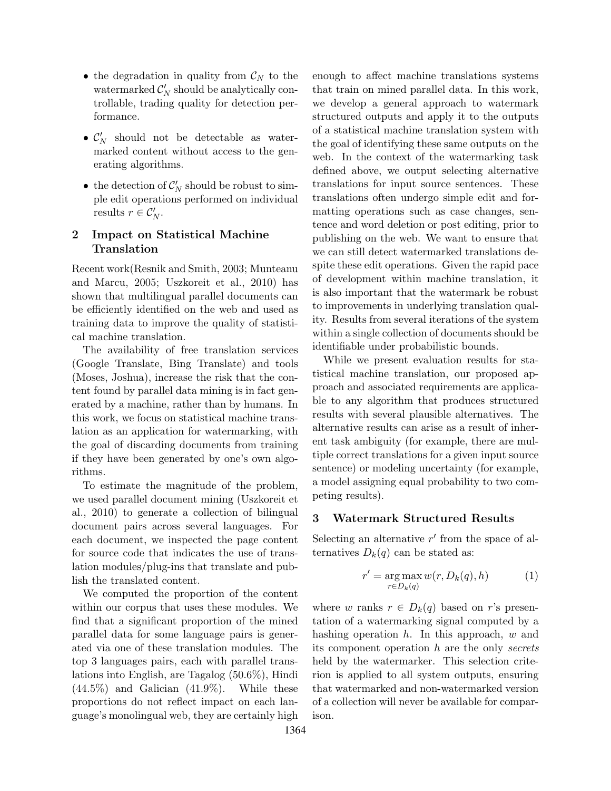- the degradation in quality from  $\mathcal{C}_N$  to the watermarked  $\mathcal{C}'_N$  should be analytically controllable, trading quality for detection performance.
- $\mathcal{C}'_N$  should not be detectable as watermarked content without access to the generating algorithms.
- the detection of  $\mathcal{C}'_N$  should be robust to simple edit operations performed on individual results  $r \in \mathcal{C}_N'.$

# 2 Impact on Statistical Machine Translation

Recent work(Resnik and Smith, 2003; Munteanu and Marcu, 2005; Uszkoreit et al., 2010) has shown that multilingual parallel documents can be efficiently identified on the web and used as training data to improve the quality of statistical machine translation.

The availability of free translation services (Google Translate, Bing Translate) and tools (Moses, Joshua), increase the risk that the content found by parallel data mining is in fact generated by a machine, rather than by humans. In this work, we focus on statistical machine translation as an application for watermarking, with the goal of discarding documents from training if they have been generated by one's own algorithms.

To estimate the magnitude of the problem, we used parallel document mining (Uszkoreit et al., 2010) to generate a collection of bilingual document pairs across several languages. For each document, we inspected the page content for source code that indicates the use of translation modules/plug-ins that translate and publish the translated content.

We computed the proportion of the content within our corpus that uses these modules. We find that a significant proportion of the mined parallel data for some language pairs is generated via one of these translation modules. The top 3 languages pairs, each with parallel translations into English, are Tagalog (50.6%), Hindi  $(44.5\%)$  and Galician  $(41.9\%)$ . While these proportions do not reflect impact on each language's monolingual web, they are certainly high

enough to affect machine translations systems that train on mined parallel data. In this work, we develop a general approach to watermark structured outputs and apply it to the outputs of a statistical machine translation system with the goal of identifying these same outputs on the web. In the context of the watermarking task defined above, we output selecting alternative translations for input source sentences. These translations often undergo simple edit and formatting operations such as case changes, sentence and word deletion or post editing, prior to publishing on the web. We want to ensure that we can still detect watermarked translations despite these edit operations. Given the rapid pace of development within machine translation, it is also important that the watermark be robust to improvements in underlying translation quality. Results from several iterations of the system within a single collection of documents should be identifiable under probabilistic bounds.

While we present evaluation results for statistical machine translation, our proposed approach and associated requirements are applicable to any algorithm that produces structured results with several plausible alternatives. The alternative results can arise as a result of inherent task ambiguity (for example, there are multiple correct translations for a given input source sentence) or modeling uncertainty (for example, a model assigning equal probability to two competing results).

# 3 Watermark Structured Results

Selecting an alternative  $r'$  from the space of alternatives  $D_k(q)$  can be stated as:

$$
r' = \underset{r \in D_k(q)}{\arg \max} w(r, D_k(q), h) \tag{1}
$$

where w ranks  $r \in D_k(q)$  based on r's presentation of a watermarking signal computed by a hashing operation  $h$ . In this approach,  $w$  and its component operation h are the only secrets held by the watermarker. This selection criterion is applied to all system outputs, ensuring that watermarked and non-watermarked version of a collection will never be available for comparison.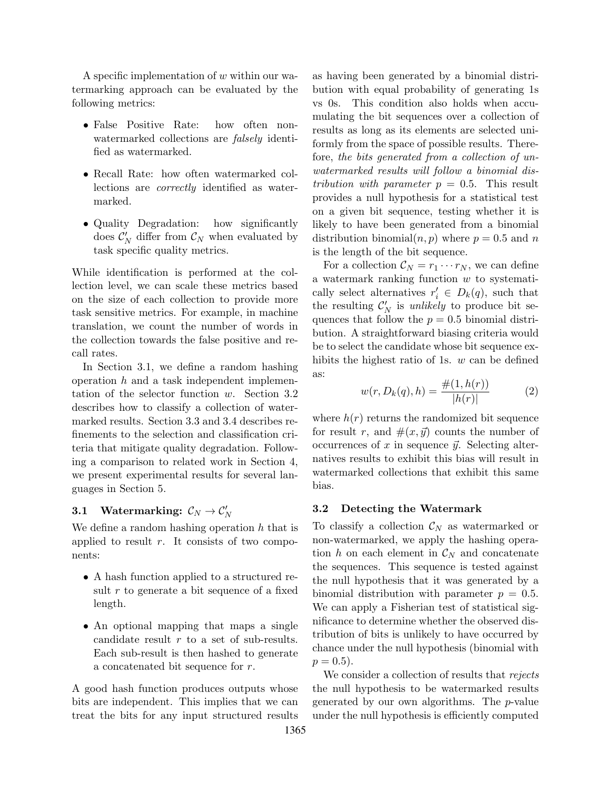A specific implementation of w within our watermarking approach can be evaluated by the following metrics:

- False Positive Rate: how often nonwatermarked collections are *falsely* identified as watermarked.
- Recall Rate: how often watermarked collections are correctly identified as watermarked.
- Quality Degradation: how significantly does  $\mathcal{C}'_N$  differ from  $\mathcal{C}_N$  when evaluated by task specific quality metrics.

While identification is performed at the collection level, we can scale these metrics based on the size of each collection to provide more task sensitive metrics. For example, in machine translation, we count the number of words in the collection towards the false positive and recall rates.

In Section 3.1, we define a random hashing operation  $h$  and a task independent implementation of the selector function w. Section 3.2 describes how to classify a collection of watermarked results. Section 3.3 and 3.4 describes refinements to the selection and classification criteria that mitigate quality degradation. Following a comparison to related work in Section 4, we present experimental results for several languages in Section 5.

# $\mathtt{3.1}\quad\text{Watermarking:}\ \mathcal{C}_N\rightarrow\mathcal{C}'_N$

We define a random hashing operation  $h$  that is applied to result  $r$ . It consists of two components:

- A hash function applied to a structured result r to generate a bit sequence of a fixed length.
- An optional mapping that maps a single candidate result  $r$  to a set of sub-results. Each sub-result is then hashed to generate a concatenated bit sequence for r.

A good hash function produces outputs whose bits are independent. This implies that we can treat the bits for any input structured results

as having been generated by a binomial distribution with equal probability of generating 1s vs 0s. This condition also holds when accumulating the bit sequences over a collection of results as long as its elements are selected uniformly from the space of possible results. Therefore, the bits generated from a collection of unwatermarked results will follow a binomial distribution with parameter  $p = 0.5$ . This result provides a null hypothesis for a statistical test on a given bit sequence, testing whether it is likely to have been generated from a binomial distribution binomial $(n, p)$  where  $p = 0.5$  and n is the length of the bit sequence.

For a collection  $\mathcal{C}_N = r_1 \cdots r_N$ , we can define a watermark ranking function w to systematically select alternatives  $r'_i \in D_k(q)$ , such that the resulting  $\mathcal{C}'_N$  is *unlikely* to produce bit sequences that follow the  $p = 0.5$  binomial distribution. A straightforward biasing criteria would be to select the candidate whose bit sequence exhibits the highest ratio of 1s. w can be defined as:

$$
w(r, D_k(q), h) = \frac{\#(1, h(r))}{|h(r)|}
$$
 (2)

where  $h(r)$  returns the randomized bit sequence for result r, and  $\#(x, \vec{y})$  counts the number of occurrences of x in sequence  $\vec{y}$ . Selecting alternatives results to exhibit this bias will result in watermarked collections that exhibit this same bias.

# 3.2 Detecting the Watermark

To classify a collection  $\mathcal{C}_N$  as watermarked or non-watermarked, we apply the hashing operation h on each element in  $\mathcal{C}_N$  and concatenate the sequences. This sequence is tested against the null hypothesis that it was generated by a binomial distribution with parameter  $p = 0.5$ . We can apply a Fisherian test of statistical significance to determine whether the observed distribution of bits is unlikely to have occurred by chance under the null hypothesis (binomial with  $p = 0.5$ .

We consider a collection of results that rejects the null hypothesis to be watermarked results generated by our own algorithms. The p-value under the null hypothesis is efficiently computed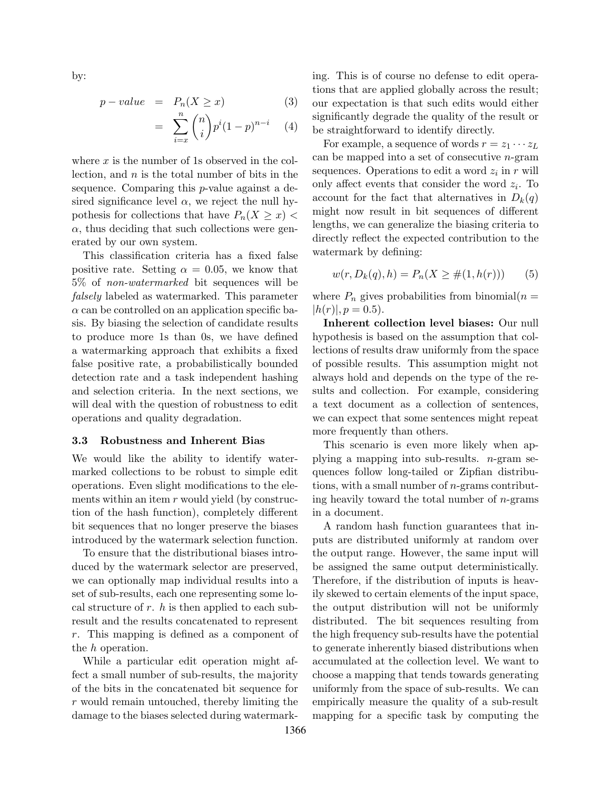by:

$$
p-value = P_n(X \ge x) \tag{3}
$$

$$
= \sum_{i=x}^{n} {n \choose i} p^{i} (1-p)^{n-i} \quad (4)
$$

where  $x$  is the number of 1s observed in the collection, and  $n$  is the total number of bits in the sequence. Comparing this p-value against a desired significance level  $\alpha$ , we reject the null hypothesis for collections that have  $P_n(X \geq x)$  $\alpha$ , thus deciding that such collections were generated by our own system.

=

This classification criteria has a fixed false positive rate. Setting  $\alpha = 0.05$ , we know that 5% of non-watermarked bit sequences will be falsely labeled as watermarked. This parameter  $\alpha$  can be controlled on an application specific basis. By biasing the selection of candidate results to produce more 1s than 0s, we have defined a watermarking approach that exhibits a fixed false positive rate, a probabilistically bounded detection rate and a task independent hashing and selection criteria. In the next sections, we will deal with the question of robustness to edit operations and quality degradation.

#### 3.3 Robustness and Inherent Bias

We would like the ability to identify watermarked collections to be robust to simple edit operations. Even slight modifications to the elements within an item  $r$  would yield (by construction of the hash function), completely different bit sequences that no longer preserve the biases introduced by the watermark selection function.

To ensure that the distributional biases introduced by the watermark selector are preserved, we can optionally map individual results into a set of sub-results, each one representing some local structure of  $r$ .  $h$  is then applied to each subresult and the results concatenated to represent r. This mapping is defined as a component of the h operation.

While a particular edit operation might affect a small number of sub-results, the majority of the bits in the concatenated bit sequence for r would remain untouched, thereby limiting the damage to the biases selected during watermarking. This is of course no defense to edit operations that are applied globally across the result; our expectation is that such edits would either significantly degrade the quality of the result or be straightforward to identify directly.

For example, a sequence of words  $r = z_1 \cdots z_L$ can be mapped into a set of consecutive  $n$ -gram sequences. Operations to edit a word  $z_i$  in r will only affect events that consider the word  $z_i$ . To account for the fact that alternatives in  $D_k(q)$ might now result in bit sequences of different lengths, we can generalize the biasing criteria to directly reflect the expected contribution to the watermark by defining:

$$
w(r, D_k(q), h) = P_n(X \ge \#(1, h(r))) \tag{5}
$$

where  $P_n$  gives probabilities from binomial( $n =$  $|h(r)|, p = 0.5$ .

Inherent collection level biases: Our null hypothesis is based on the assumption that collections of results draw uniformly from the space of possible results. This assumption might not always hold and depends on the type of the results and collection. For example, considering a text document as a collection of sentences, we can expect that some sentences might repeat more frequently than others.

This scenario is even more likely when applying a mapping into sub-results.  $n$ -gram sequences follow long-tailed or Zipfian distributions, with a small number of n-grams contributing heavily toward the total number of  $n$ -grams in a document.

A random hash function guarantees that inputs are distributed uniformly at random over the output range. However, the same input will be assigned the same output deterministically. Therefore, if the distribution of inputs is heavily skewed to certain elements of the input space, the output distribution will not be uniformly distributed. The bit sequences resulting from the high frequency sub-results have the potential to generate inherently biased distributions when accumulated at the collection level. We want to choose a mapping that tends towards generating uniformly from the space of sub-results. We can empirically measure the quality of a sub-result mapping for a specific task by computing the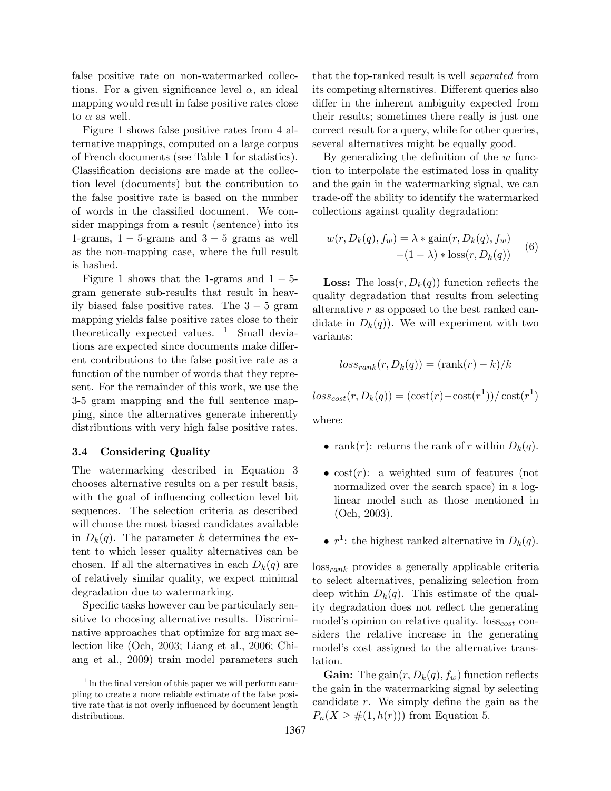false positive rate on non-watermarked collections. For a given significance level  $\alpha$ , an ideal mapping would result in false positive rates close to  $\alpha$  as well.

Figure 1 shows false positive rates from 4 alternative mappings, computed on a large corpus of French documents (see Table 1 for statistics). Classification decisions are made at the collection level (documents) but the contribution to the false positive rate is based on the number of words in the classified document. We consider mappings from a result (sentence) into its 1-grams,  $1 - 5$ -grams and  $3 - 5$  grams as well as the non-mapping case, where the full result is hashed.

Figure 1 shows that the 1-grams and  $1 - 5$ gram generate sub-results that result in heavily biased false positive rates. The  $3 - 5$  gram mapping yields false positive rates close to their theoretically expected values.  $1$  Small deviations are expected since documents make different contributions to the false positive rate as a function of the number of words that they represent. For the remainder of this work, we use the 3-5 gram mapping and the full sentence mapping, since the alternatives generate inherently distributions with very high false positive rates.

#### 3.4 Considering Quality

The watermarking described in Equation 3 chooses alternative results on a per result basis, with the goal of influencing collection level bit sequences. The selection criteria as described will choose the most biased candidates available in  $D_k(q)$ . The parameter k determines the extent to which lesser quality alternatives can be chosen. If all the alternatives in each  $D_k(q)$  are of relatively similar quality, we expect minimal degradation due to watermarking.

Specific tasks however can be particularly sensitive to choosing alternative results. Discriminative approaches that optimize for arg max selection like (Och, 2003; Liang et al., 2006; Chiang et al., 2009) train model parameters such that the top-ranked result is well separated from its competing alternatives. Different queries also differ in the inherent ambiguity expected from their results; sometimes there really is just one correct result for a query, while for other queries, several alternatives might be equally good.

By generalizing the definition of the  $w$  function to interpolate the estimated loss in quality and the gain in the watermarking signal, we can trade-off the ability to identify the watermarked collections against quality degradation:

$$
w(r, D_k(q), f_w) = \lambda * \text{gain}(r, D_k(q), f_w)
$$
  
-(1 - \lambda) \* loss(r, D\_k(q)) (6)

**Loss:** The  $\cos(r, D_k(q))$  function reflects the quality degradation that results from selecting alternative r as opposed to the best ranked candidate in  $D_k(q)$ . We will experiment with two variants:

$$
loss_{rank}(r, D_k(q)) = (\text{rank}(r) - k)/k
$$

 $loss_{cost}(r, D_k(q)) = (\text{cost}(r) - \text{cost}(r^1))/\text{cost}(r^1)$ 

where:

- rank $(r)$ : returns the rank of r within  $D_k(q)$ .
- $cost(r)$ : a weighted sum of features (not normalized over the search space) in a loglinear model such as those mentioned in (Och, 2003).
- $r^1$ : the highest ranked alternative in  $D_k(q)$ .

lossrank provides a generally applicable criteria to select alternatives, penalizing selection from deep within  $D_k(q)$ . This estimate of the quality degradation does not reflect the generating model's opinion on relative quality.  $loss<sub>cost</sub>$  considers the relative increase in the generating model's cost assigned to the alternative translation.

**Gain:** The gain $(r, D_k(q), f_w)$  function reflects the gain in the watermarking signal by selecting candidate r. We simply define the gain as the  $P_n(X \geq \#(1, h(r)))$  from Equation 5.

<sup>&</sup>lt;sup>1</sup>In the final version of this paper we will perform sampling to create a more reliable estimate of the false positive rate that is not overly influenced by document length distributions.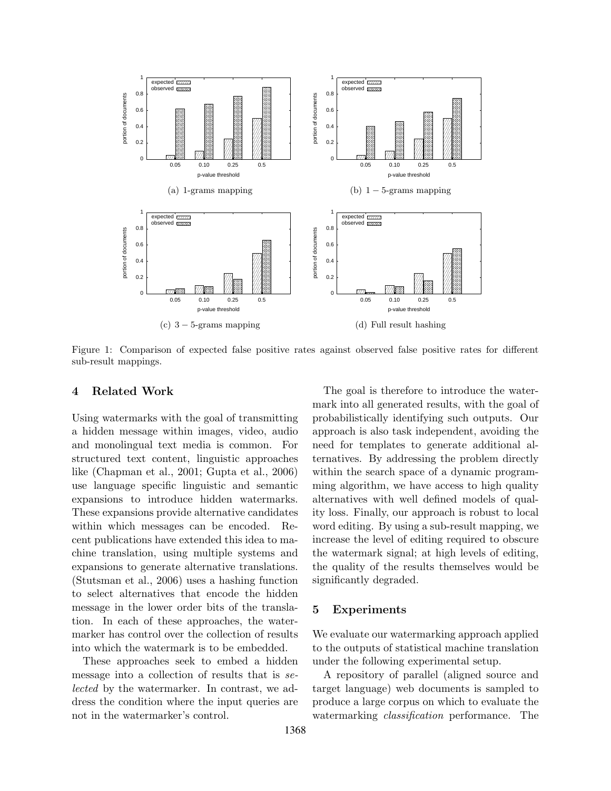

Figure 1: Comparison of expected false positive rates against observed false positive rates for different sub-result mappings.

# 4 Related Work

Using watermarks with the goal of transmitting a hidden message within images, video, audio and monolingual text media is common. For structured text content, linguistic approaches like (Chapman et al., 2001; Gupta et al., 2006) use language specific linguistic and semantic expansions to introduce hidden watermarks. These expansions provide alternative candidates within which messages can be encoded. Recent publications have extended this idea to machine translation, using multiple systems and expansions to generate alternative translations. (Stutsman et al., 2006) uses a hashing function to select alternatives that encode the hidden message in the lower order bits of the translation. In each of these approaches, the watermarker has control over the collection of results into which the watermark is to be embedded.

These approaches seek to embed a hidden message into a collection of results that is selected by the watermarker. In contrast, we address the condition where the input queries are not in the watermarker's control.

The goal is therefore to introduce the watermark into all generated results, with the goal of probabilistically identifying such outputs. Our approach is also task independent, avoiding the need for templates to generate additional alternatives. By addressing the problem directly within the search space of a dynamic programming algorithm, we have access to high quality alternatives with well defined models of quality loss. Finally, our approach is robust to local word editing. By using a sub-result mapping, we increase the level of editing required to obscure the watermark signal; at high levels of editing, the quality of the results themselves would be significantly degraded.

# 5 Experiments

We evaluate our watermarking approach applied to the outputs of statistical machine translation under the following experimental setup.

A repository of parallel (aligned source and target language) web documents is sampled to produce a large corpus on which to evaluate the watermarking classification performance. The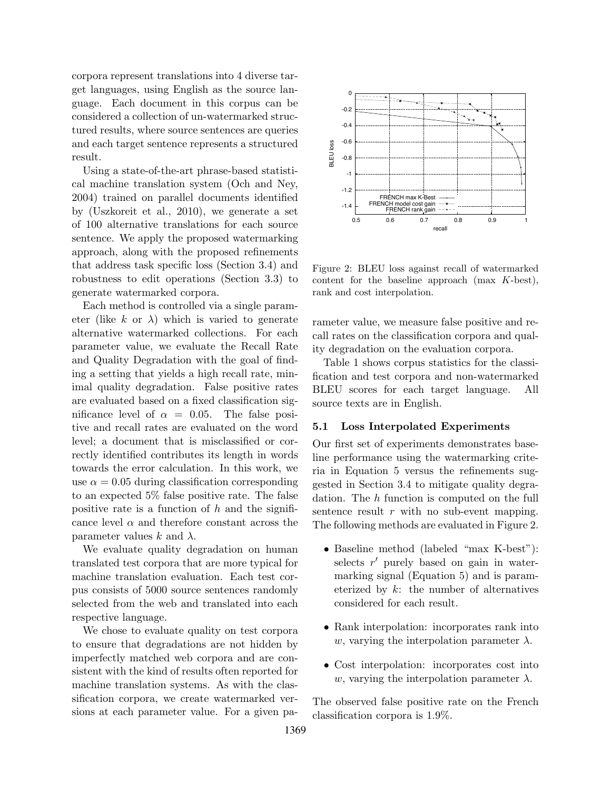corpora represent translations into 4 diverse target languages, using English as the source language. Each document in this corpus can be considered a collection of un-watermarked structured results, where source sentences are queries and each target sentence represents a structured result.

Using a state-of-the-art phrase-based statistical machine translation system (Och and Ney, 2004) trained on parallel documents identified by (Uszkoreit et al., 2010), we generate a set of 100 alternative translations for each source sentence. We apply the proposed watermarking approach, along with the proposed refinements that address task specific loss (Section 3.4) and robustness to edit operations (Section 3.3) to generate watermarked corpora.

Each method is controlled via a single parameter (like k or  $\lambda$ ) which is varied to generate alternative watermarked collections. For each parameter value, we evaluate the Recall Rate and Quality Degradation with the goal of finding a setting that yields a high recall rate, minimal quality degradation. False positive rates are evaluated based on a fixed classification significance level of  $\alpha = 0.05$ . The false positive and recall rates are evaluated on the word level; a document that is misclassified or correctly identified contributes its length in words towards the error calculation. In this work, we use  $\alpha = 0.05$  during classification corresponding to an expected 5% false positive rate. The false positive rate is a function of  $h$  and the significance level  $\alpha$  and therefore constant across the parameter values k and  $\lambda$ .

We evaluate quality degradation on human translated test corpora that are more typical for machine translation evaluation. Each test corpus consists of 5000 source sentences randomly selected from the web and translated into each respective language.

We chose to evaluate quality on test corpora to ensure that degradations are not hidden by imperfectly matched web corpora and are consistent with the kind of results often reported for machine translation systems. As with the classification corpora, we create watermarked versions at each parameter value. For a given pa-



Figure 2: BLEU loss against recall of watermarked content for the baseline approach (max K-best), rank and cost interpolation.

rameter value, we measure false positive and recall rates on the classification corpora and quality degradation on the evaluation corpora.

Table 1 shows corpus statistics for the classification and test corpora and non-watermarked BLEU scores for each target language. All source texts are in English.

#### 5.1 Loss Interpolated Experiments

Our first set of experiments demonstrates baseline performance using the watermarking criteria in Equation 5 versus the refinements suggested in Section 3.4 to mitigate quality degradation. The h function is computed on the full sentence result  $r$  with no sub-event mapping. The following methods are evaluated in Figure 2.

- Baseline method (labeled "max K-best"): selects  $r'$  purely based on gain in watermarking signal (Equation 5) and is parameterized by  $k$ : the number of alternatives considered for each result.
- Rank interpolation: incorporates rank into w, varying the interpolation parameter  $\lambda$ .
- Cost interpolation: incorporates cost into w, varying the interpolation parameter  $\lambda$ .

The observed false positive rate on the French classification corpora is 1.9%.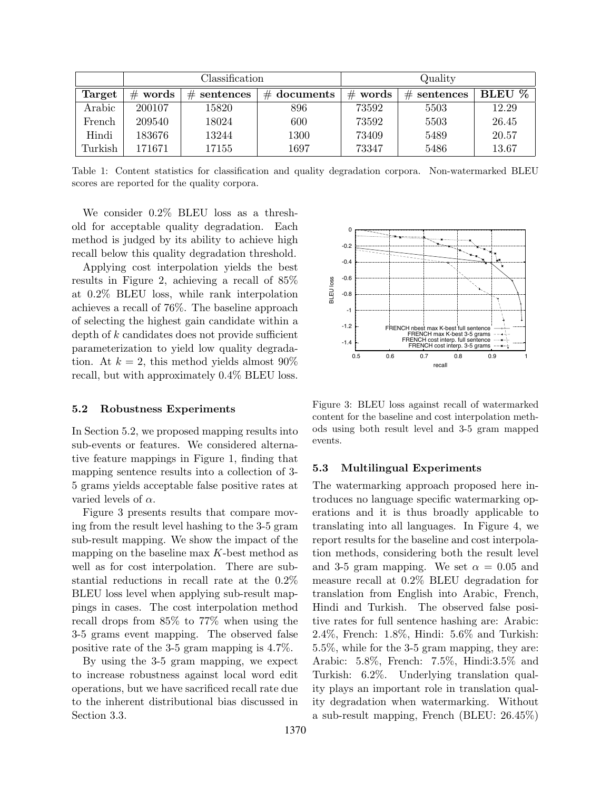|         | Classification |               |               | Quality    |               |        |
|---------|----------------|---------------|---------------|------------|---------------|--------|
| Target  | words<br>#     | $#$ sentences | $#$ documents | words<br># | $#$ sentences | BLEU % |
| Arabic  | 200107         | 15820         | 896           | 73592      | 5503          | 12.29  |
| French  | 209540         | 18024         | 600           | 73592      | 5503          | 26.45  |
| Hindi   | 183676         | 13244         | 1300          | 73409      | 5489          | 20.57  |
| Turkish | 171671         | 17155         | 1697          | 73347      | 5486          | 13.67  |

Table 1: Content statistics for classification and quality degradation corpora. Non-watermarked BLEU scores are reported for the quality corpora.

We consider 0.2% BLEU loss as a threshold for acceptable quality degradation. Each method is judged by its ability to achieve high recall below this quality degradation threshold.

Applying cost interpolation yields the best results in Figure 2, achieving a recall of 85% at 0.2% BLEU loss, while rank interpolation achieves a recall of 76%. The baseline approach of selecting the highest gain candidate within a depth of  $k$  candidates does not provide sufficient parameterization to yield low quality degradation. At  $k = 2$ , this method yields almost 90% recall, but with approximately 0.4% BLEU loss.

#### 5.2 Robustness Experiments

In Section 5.2, we proposed mapping results into sub-events or features. We considered alternative feature mappings in Figure 1, finding that mapping sentence results into a collection of 3- 5 grams yields acceptable false positive rates at varied levels of  $\alpha$ .

Figure 3 presents results that compare moving from the result level hashing to the 3-5 gram sub-result mapping. We show the impact of the mapping on the baseline max  $K$ -best method as well as for cost interpolation. There are substantial reductions in recall rate at the 0.2% BLEU loss level when applying sub-result mappings in cases. The cost interpolation method recall drops from 85% to 77% when using the 3-5 grams event mapping. The observed false positive rate of the 3-5 gram mapping is 4.7%.

By using the 3-5 gram mapping, we expect to increase robustness against local word edit operations, but we have sacrificed recall rate due to the inherent distributional bias discussed in Section 3.3.



Figure 3: BLEU loss against recall of watermarked content for the baseline and cost interpolation methods using both result level and 3-5 gram mapped events.

#### 5.3 Multilingual Experiments

The watermarking approach proposed here introduces no language specific watermarking operations and it is thus broadly applicable to translating into all languages. In Figure 4, we report results for the baseline and cost interpolation methods, considering both the result level and 3-5 gram mapping. We set  $\alpha = 0.05$  and measure recall at 0.2% BLEU degradation for translation from English into Arabic, French, Hindi and Turkish. The observed false positive rates for full sentence hashing are: Arabic: 2.4%, French: 1.8%, Hindi: 5.6% and Turkish: 5.5%, while for the 3-5 gram mapping, they are: Arabic: 5.8%, French: 7.5%, Hindi:3.5% and Turkish: 6.2%. Underlying translation quality plays an important role in translation quality degradation when watermarking. Without a sub-result mapping, French (BLEU: 26.45%)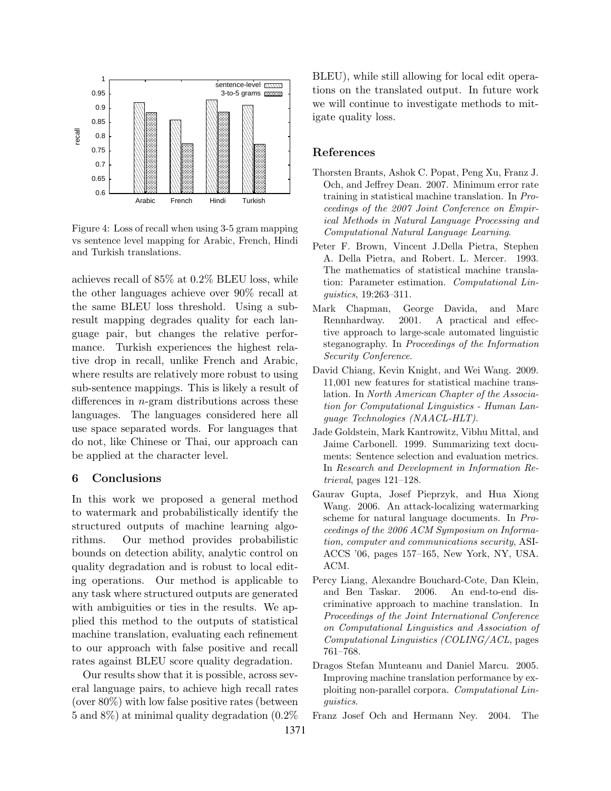

Figure 4: Loss of recall when using 3-5 gram mapping vs sentence level mapping for Arabic, French, Hindi and Turkish translations.

achieves recall of 85% at 0.2% BLEU loss, while the other languages achieve over 90% recall at the same BLEU loss threshold. Using a subresult mapping degrades quality for each language pair, but changes the relative performance. Turkish experiences the highest relative drop in recall, unlike French and Arabic, where results are relatively more robust to using sub-sentence mappings. This is likely a result of differences in n-gram distributions across these languages. The languages considered here all use space separated words. For languages that do not, like Chinese or Thai, our approach can be applied at the character level.

# 6 Conclusions

In this work we proposed a general method to watermark and probabilistically identify the structured outputs of machine learning algorithms. Our method provides probabilistic bounds on detection ability, analytic control on quality degradation and is robust to local editing operations. Our method is applicable to any task where structured outputs are generated with ambiguities or ties in the results. We applied this method to the outputs of statistical machine translation, evaluating each refinement to our approach with false positive and recall rates against BLEU score quality degradation.

Our results show that it is possible, across several language pairs, to achieve high recall rates (over 80%) with low false positive rates (between 5 and 8%) at minimal quality degradation (0.2%

BLEU), while still allowing for local edit operations on the translated output. In future work we will continue to investigate methods to mitigate quality loss.

### References

- Thorsten Brants, Ashok C. Popat, Peng Xu, Franz J. Och, and Jeffrey Dean. 2007. Minimum error rate training in statistical machine translation. In Proceedings of the 2007 Joint Conference on Empirical Methods in Natural Language Processing and Computational Natural Language Learning.
- Peter F. Brown, Vincent J.Della Pietra, Stephen A. Della Pietra, and Robert. L. Mercer. 1993. The mathematics of statistical machine translation: Parameter estimation. Computational Linguistics, 19:263–311.
- Mark Chapman, George Davida, and Marc Rennhardway. 2001. A practical and effective approach to large-scale automated linguistic steganography. In Proceedings of the Information Security Conference.
- David Chiang, Kevin Knight, and Wei Wang. 2009. 11,001 new features for statistical machine translation. In North American Chapter of the Association for Computational Linguistics - Human Language Technologies (NAACL-HLT).
- Jade Goldstein, Mark Kantrowitz, Vibhu Mittal, and Jaime Carbonell. 1999. Summarizing text documents: Sentence selection and evaluation metrics. In Research and Development in Information Retrieval, pages 121–128.
- Gaurav Gupta, Josef Pieprzyk, and Hua Xiong Wang. 2006. An attack-localizing watermarking scheme for natural language documents. In Proceedings of the 2006 ACM Symposium on Information, computer and communications security, ASI-ACCS '06, pages 157–165, New York, NY, USA. ACM.
- Percy Liang, Alexandre Bouchard-Cote, Dan Klein, and Ben Taskar. 2006. An end-to-end discriminative approach to machine translation. In Proceedings of the Joint International Conference on Computational Linguistics and Association of Computational Linguistics (COLING/ACL, pages 761–768.
- Dragos Stefan Munteanu and Daniel Marcu. 2005. Improving machine translation performance by exploiting non-parallel corpora. Computational Linguistics.
- Franz Josef Och and Hermann Ney. 2004. The

1371